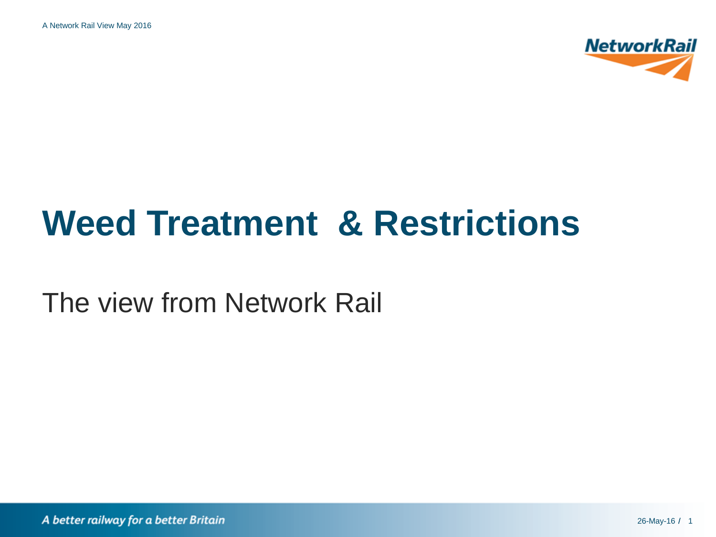A Network Rail View May 2016



# **Weed Treatment & Restrictions**

The view from Network Rail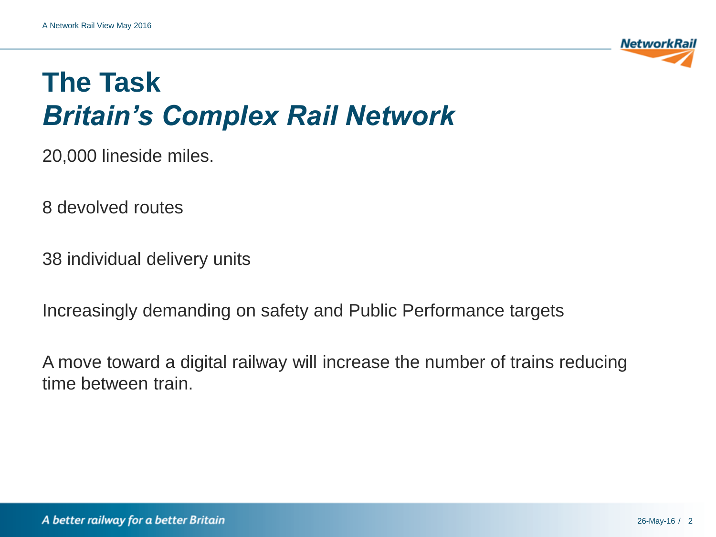

20,000 lineside miles.

8 devolved routes

38 individual delivery units

Increasingly demanding on safety and Public Performance targets

A move toward a digital railway will increase the number of trains reducing time between train.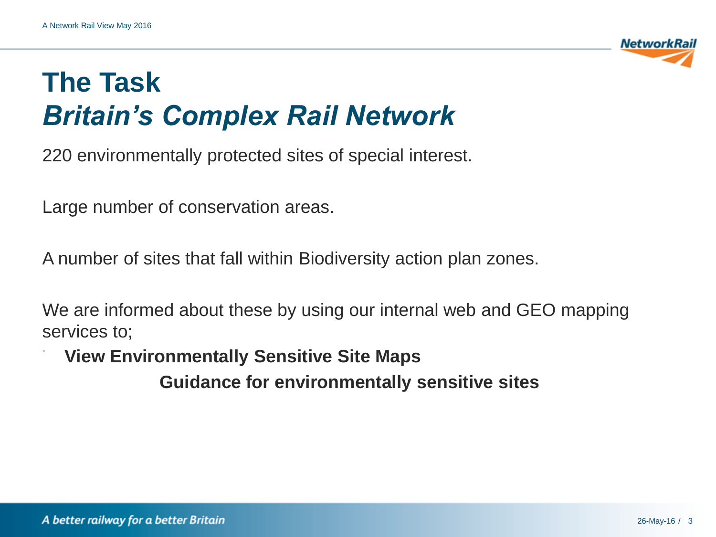

220 environmentally protected sites of special interest.

Large number of conservation areas.

A number of sites that fall within Biodiversity action plan zones.

We are informed about these by using our internal web and GEO mapping services to;

• **View Environmentally Sensitive Site Maps Guidance for environmentally sensitive sites**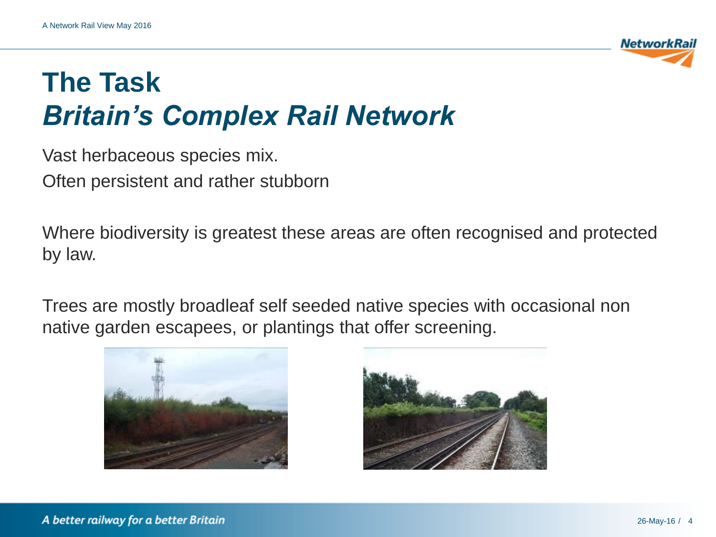

Vast herbaceous species mix. Often persistent and rather stubborn

Where biodiversity is greatest these areas are often recognised and protected by law.

Trees are mostly broadleaf self seeded native species with occasional non native garden escapees, or plantings that offer screening.



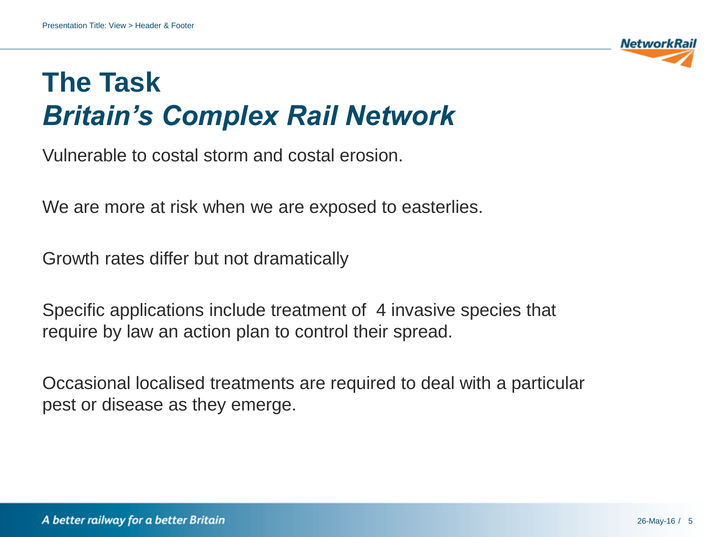Vulnerable to costal storm and costal erosion.

We are more at risk when we are exposed to easterlies.

Growth rates differ but not dramatically

Specific applications include treatment of 4 invasive species that require by law an action plan to control their spread.

Occasional localised treatments are required to deal with a particular pest or disease as they emerge.

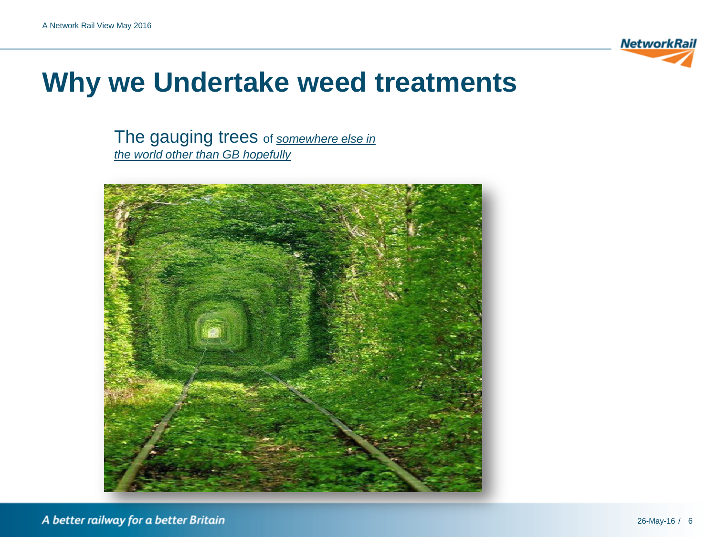

#### **Why we Undertake weed treatments**

The gauging trees of *somewhere else in the world other than GB hopefully*

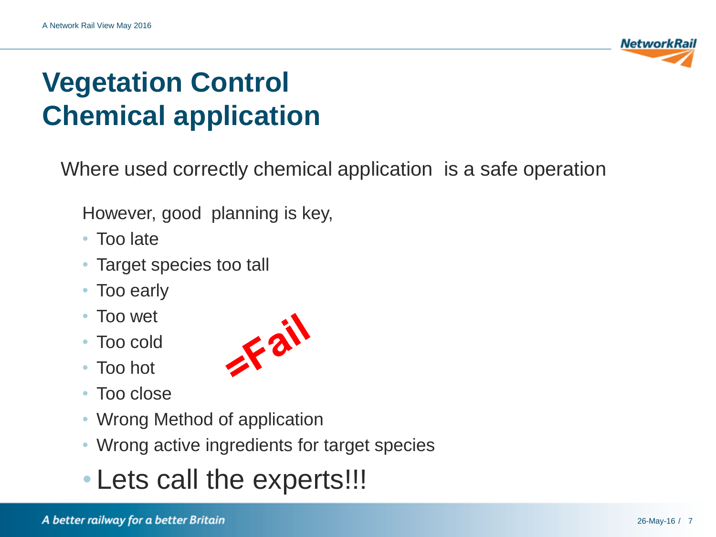

# **Vegetation Control Chemical application**

Where used correctly chemical application is a safe operation

However, good planning is key,

- Too late
- Target species too tall
- Too early
- Too wet
- Too cold
- Too hot
- Too close
- Wrong Method of application
- Wrong active ingredients for target species
- Lets call the experts!!!

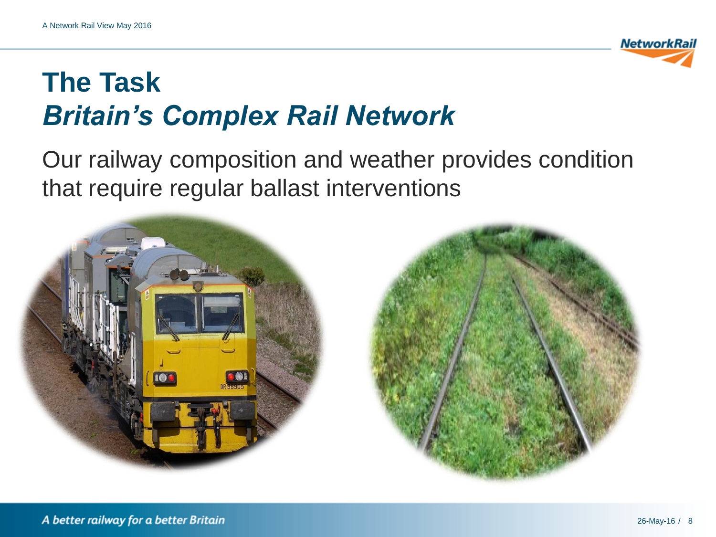

#### Our railway composition and weather provides condition that require regular ballast interventions



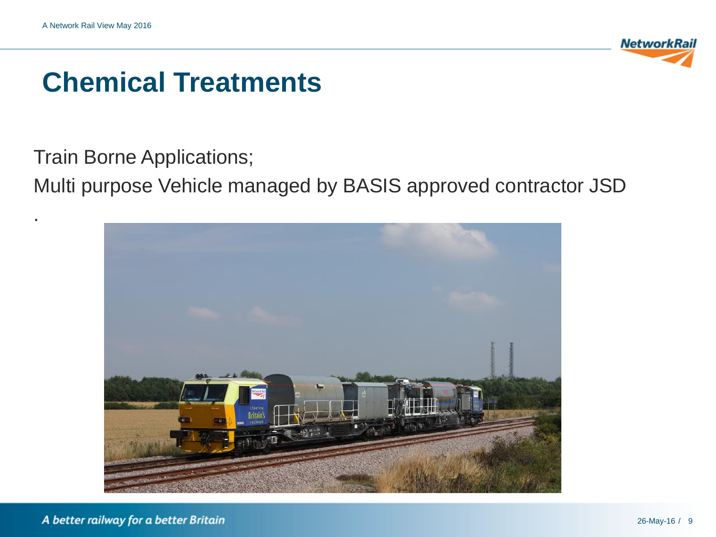.



### **Chemical Treatments**

Train Borne Applications;

Multi purpose Vehicle managed by BASIS approved contractor JSD

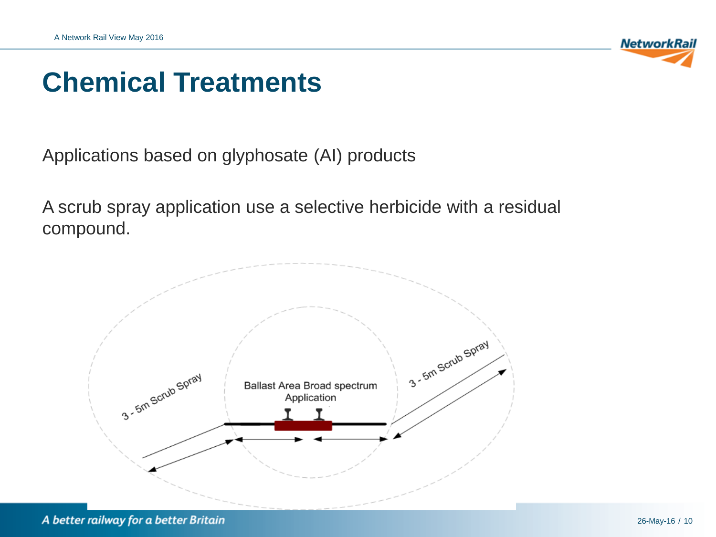

#### **Chemical Treatments**

Applications based on glyphosate (AI) products

A scrub spray application use a selective herbicide with a residual compound.

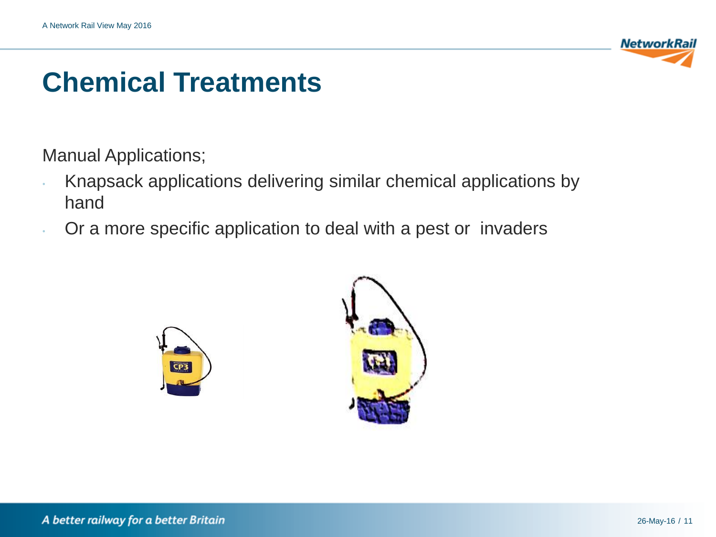

### **Chemical Treatments**

Manual Applications;

- Knapsack applications delivering similar chemical applications by hand
- Or a more specific application to deal with a pest or invaders



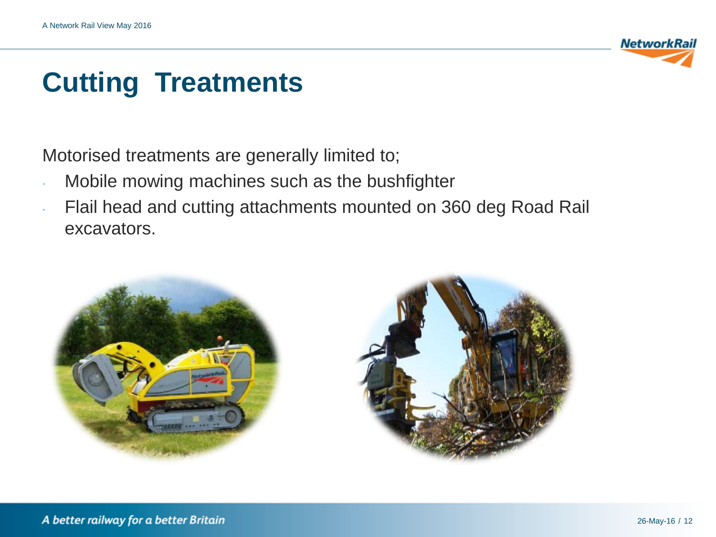

## **Cutting Treatments**

Motorised treatments are generally limited to;

- Mobile mowing machines such as the bushfighter
- Flail head and cutting attachments mounted on 360 deg Road Rail excavators.



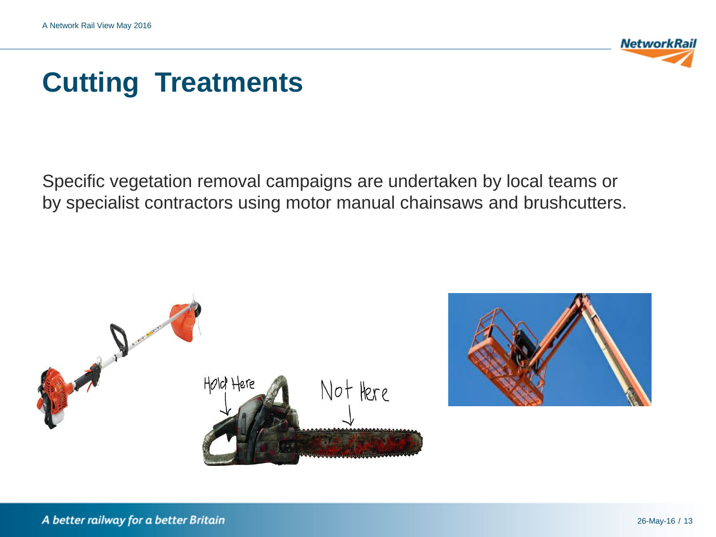

# **Cutting Treatments**

Specific vegetation removal campaigns are undertaken by local teams or by specialist contractors using motor manual chainsaws and brushcutters.



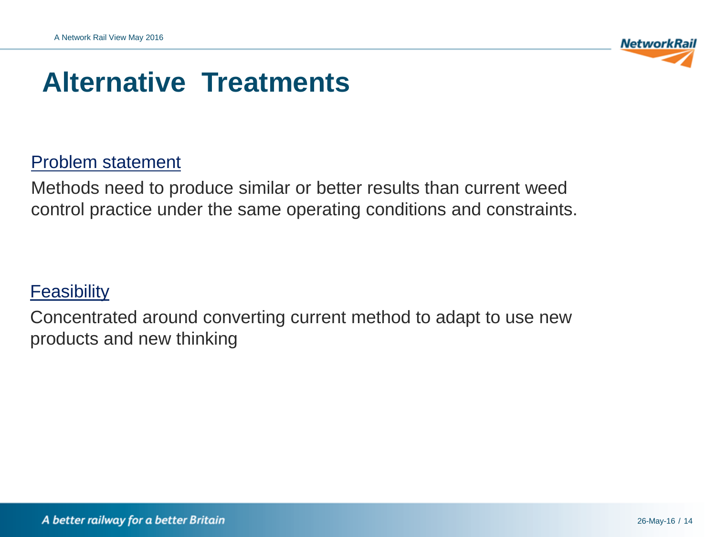

#### **Alternative Treatments**

#### Problem statement

Methods need to produce similar or better results than current weed control practice under the same operating conditions and constraints.

#### **Feasibility**

Concentrated around converting current method to adapt to use new products and new thinking